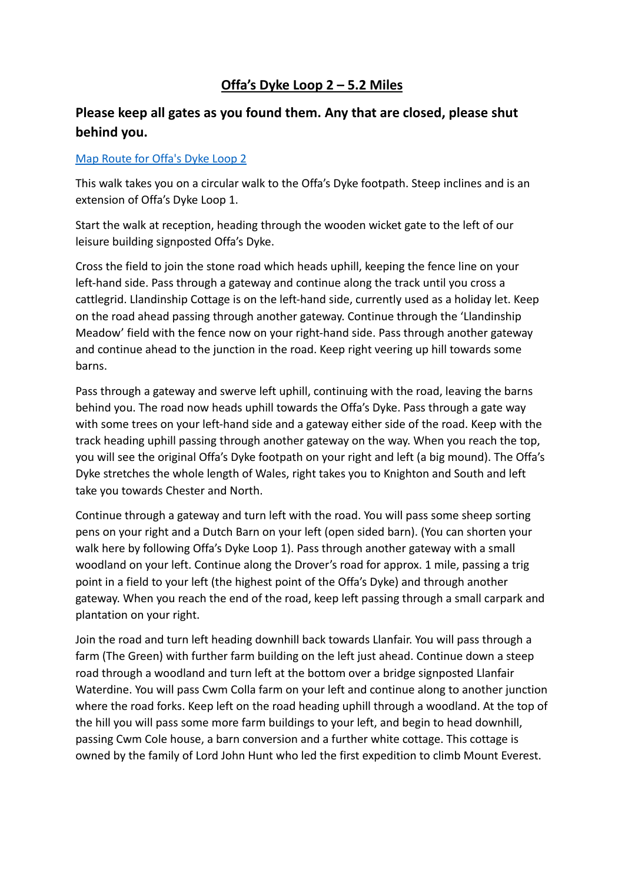## **Offa's Dyke Loop 2 – 5.2 Miles**

## **Please keep all gates as you found them. Any that are closed, please shut behind you.**

## [Map Route for Offa's Dyke Loop 2](https://www.maps.ie/map-my-route/viewMap.php?route=228841)

This walk takes you on a circular walk to the Offa's Dyke footpath. Steep inclines and is an extension of Offa's Dyke Loop 1.

Start the walk at reception, heading through the wooden wicket gate to the left of our leisure building signposted Offa's Dyke.

Cross the field to join the stone road which heads uphill, keeping the fence line on your left-hand side. Pass through a gateway and continue along the track until you cross a cattlegrid. Llandinship Cottage is on the left-hand side, currently used as a holiday let. Keep on the road ahead passing through another gateway. Continue through the 'Llandinship Meadow' field with the fence now on your right-hand side. Pass through another gateway and continue ahead to the junction in the road. Keep right veering up hill towards some barns.

Pass through a gateway and swerve left uphill, continuing with the road, leaving the barns behind you. The road now heads uphill towards the Offa's Dyke. Pass through a gate way with some trees on your left-hand side and a gateway either side of the road. Keep with the track heading uphill passing through another gateway on the way. When you reach the top, you will see the original Offa's Dyke footpath on your right and left (a big mound). The Offa's Dyke stretches the whole length of Wales, right takes you to Knighton and South and left take you towards Chester and North.

Continue through a gateway and turn left with the road. You will pass some sheep sorting pens on your right and a Dutch Barn on your left (open sided barn). (You can shorten your walk here by following Offa's Dyke Loop 1). Pass through another gateway with a small woodland on your left. Continue along the Drover's road for approx. 1 mile, passing a trig point in a field to your left (the highest point of the Offa's Dyke) and through another gateway. When you reach the end of the road, keep left passing through a small carpark and plantation on your right.

Join the road and turn left heading downhill back towards Llanfair. You will pass through a farm (The Green) with further farm building on the left just ahead. Continue down a steep road through a woodland and turn left at the bottom over a bridge signposted Llanfair Waterdine. You will pass Cwm Colla farm on your left and continue along to another junction where the road forks. Keep left on the road heading uphill through a woodland. At the top of the hill you will pass some more farm buildings to your left, and begin to head downhill, passing Cwm Cole house, a barn conversion and a further white cottage. This cottage is owned by the family of Lord John Hunt who led the first expedition to climb Mount Everest.